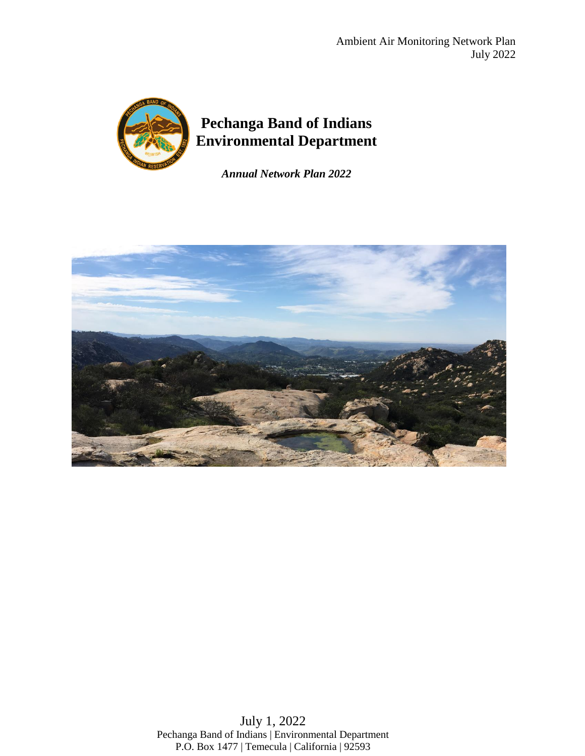

*Annual Network Plan 2022*



July 1, 2022 Pechanga Band of Indians | Environmental Department P.O. Box 1477 | Temecula | California | 92593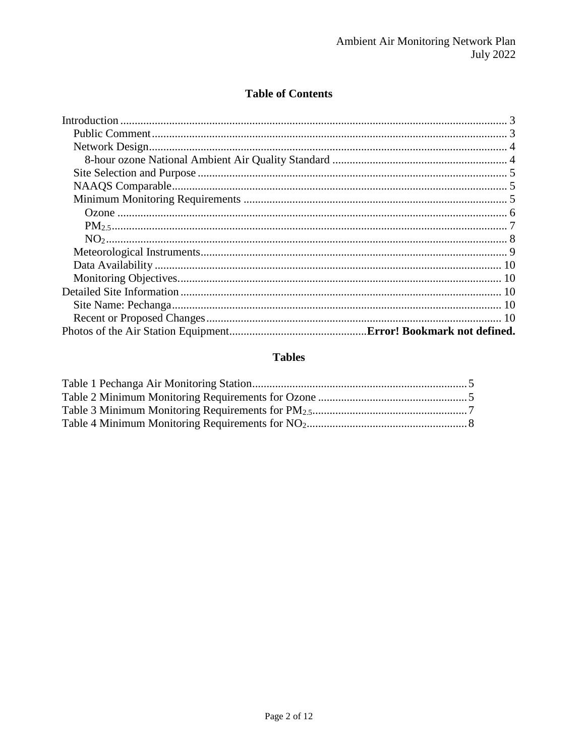### **Table of Contents**

### **Tables**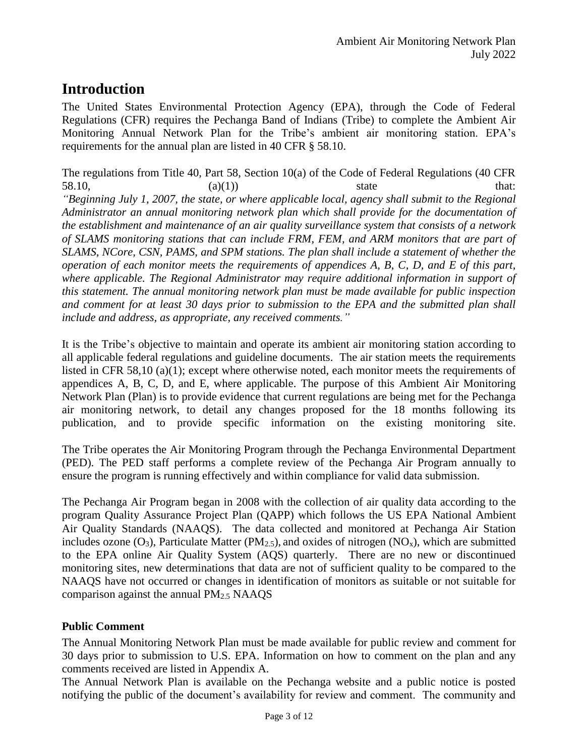# **Introduction**

The United States Environmental Protection Agency (EPA), through the Code of Federal Regulations (CFR) requires the Pechanga Band of Indians (Tribe) to complete the Ambient Air Monitoring Annual Network Plan for the Tribe's ambient air monitoring station. EPA's requirements for the annual plan are listed in 40 CFR § 58.10.

The regulations from Title 40, Part 58, Section 10(a) of the Code of Federal Regulations (40 CFR 58.10,  $(a)(1)$  state that: *"Beginning July 1, 2007, the state, or where applicable local, agency shall submit to the Regional Administrator an annual monitoring network plan which shall provide for the documentation of the establishment and maintenance of an air quality surveillance system that consists of a network of SLAMS monitoring stations that can include FRM, FEM, and ARM monitors that are part of SLAMS, NCore, CSN, PAMS, and SPM stations. The plan shall include a statement of whether the operation of each monitor meets the requirements of appendices A, B, C, D, and E of this part,*  where applicable. The Regional Administrator may require additional information in support of *this statement. The annual monitoring network plan must be made available for public inspection and comment for at least 30 days prior to submission to the EPA and the submitted plan shall include and address, as appropriate, any received comments."*

It is the Tribe's objective to maintain and operate its ambient air monitoring station according to all applicable federal regulations and guideline documents. The air station meets the requirements listed in CFR 58,10 (a)(1); except where otherwise noted, each monitor meets the requirements of appendices A, B, C, D, and E, where applicable. The purpose of this Ambient Air Monitoring Network Plan (Plan) is to provide evidence that current regulations are being met for the Pechanga air monitoring network, to detail any changes proposed for the 18 months following its publication, and to provide specific information on the existing monitoring site.

The Tribe operates the Air Monitoring Program through the Pechanga Environmental Department (PED). The PED staff performs a complete review of the Pechanga Air Program annually to ensure the program is running effectively and within compliance for valid data submission.

The Pechanga Air Program began in 2008 with the collection of air quality data according to the program Quality Assurance Project Plan (QAPP) which follows the US EPA National Ambient Air Quality Standards (NAAQS). The data collected and monitored at Pechanga Air Station includes ozone  $(O_3)$ , Particulate Matter (PM<sub>2.5</sub>), and oxides of nitrogen (NO<sub>x</sub>), which are submitted to the EPA online Air Quality System (AQS) quarterly. There are no new or discontinued monitoring sites, new determinations that data are not of sufficient quality to be compared to the NAAQS have not occurred or changes in identification of monitors as suitable or not suitable for comparison against the annual  $PM<sub>2.5</sub> NAAOS$ 

### **Public Comment**

The Annual Monitoring Network Plan must be made available for public review and comment for 30 days prior to submission to U.S. EPA. Information on how to comment on the plan and any comments received are listed in Appendix A.

The Annual Network Plan is available on the Pechanga website and a public notice is posted notifying the public of the document's availability for review and comment. The community and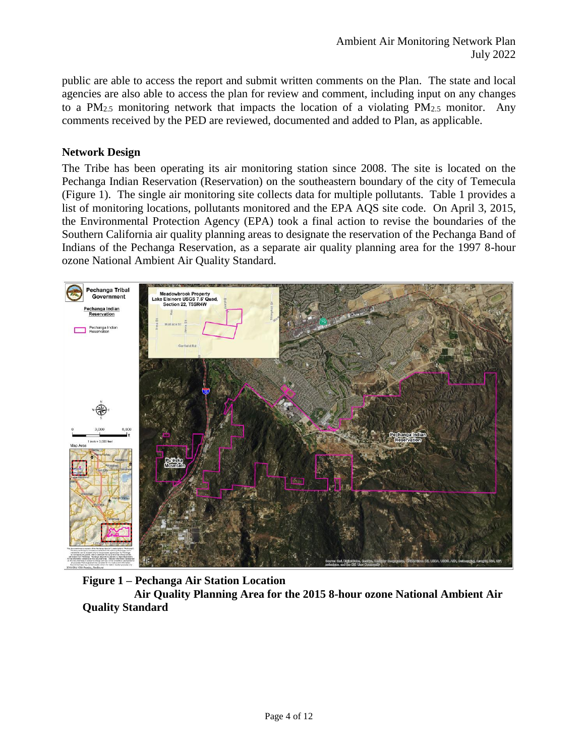public are able to access the report and submit written comments on the Plan. The state and local agencies are also able to access the plan for review and comment, including input on any changes to a PM<sub>2.5</sub> monitoring network that impacts the location of a violating PM<sub>2.5</sub> monitor. Any comments received by the PED are reviewed, documented and added to Plan, as applicable.

### **Network Design**

The Tribe has been operating its air monitoring station since 2008. The site is located on the Pechanga Indian Reservation (Reservation) on the southeastern boundary of the city of Temecula (Figure 1). The single air monitoring site collects data for multiple pollutants. Table 1 provides a list of monitoring locations, pollutants monitored and the EPA AQS site code. On April 3, 2015, the Environmental Protection Agency (EPA) took a final action to revise the boundaries of the Southern California air quality planning areas to designate the reservation of the Pechanga Band of Indians of the Pechanga Reservation, as a separate air quality planning area for the 1997 8-hour ozone National Ambient Air Quality Standard.



### **Figure 1 – Pechanga Air Station Location**

 **Air Quality Planning Area for the 2015 8-hour ozone National Ambient Air Quality Standard**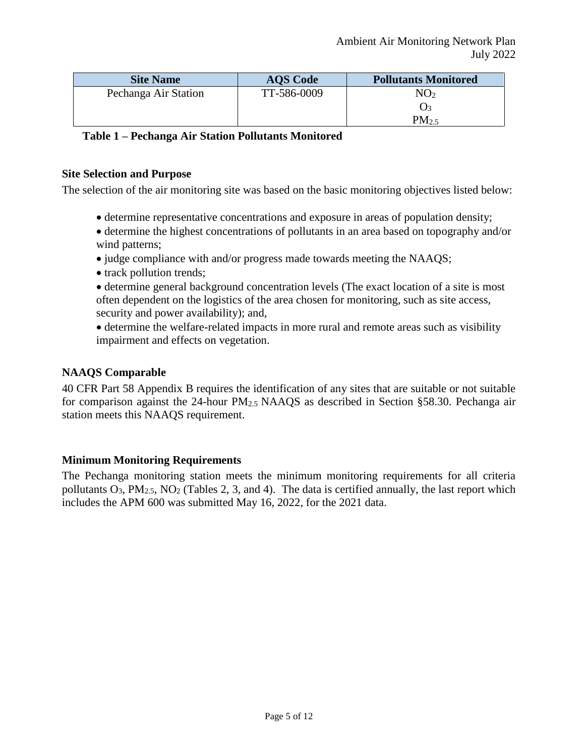| <b>Site Name</b>     | <b>AQS</b> Code | <b>Pollutants Monitored</b> |
|----------------------|-----------------|-----------------------------|
| Pechanga Air Station | TT-586-0009     | $\rm NO_2$                  |
|                      |                 | ( )ર                        |
|                      |                 | $PM_{2.5}$                  |

| Table 1 - Pechanga Air Station Pollutants Monitored |  |  |  |
|-----------------------------------------------------|--|--|--|
|-----------------------------------------------------|--|--|--|

### **Site Selection and Purpose**

The selection of the air monitoring site was based on the basic monitoring objectives listed below:

- determine representative concentrations and exposure in areas of population density;
- determine the highest concentrations of pollutants in an area based on topography and/or wind patterns;
- judge compliance with and/or progress made towards meeting the NAAOS;
- track pollution trends;
- determine general background concentration levels (The exact location of a site is most often dependent on the logistics of the area chosen for monitoring, such as site access, security and power availability); and,
- determine the welfare-related impacts in more rural and remote areas such as visibility impairment and effects on vegetation.

### **NAAQS Comparable**

40 CFR Part 58 Appendix B requires the identification of any sites that are suitable or not suitable for comparison against the 24-hour PM2.5 NAAQS as described in Section §58.30. Pechanga air station meets this NAAQS requirement.

### **Minimum Monitoring Requirements**

The Pechanga monitoring station meets the minimum monitoring requirements for all criteria pollutants  $O_3$ ,  $PM_{2.5}$ ,  $NO_2$  (Tables 2, 3, and 4). The data is certified annually, the last report which includes the APM 600 was submitted May 16, 2022, for the 2021 data.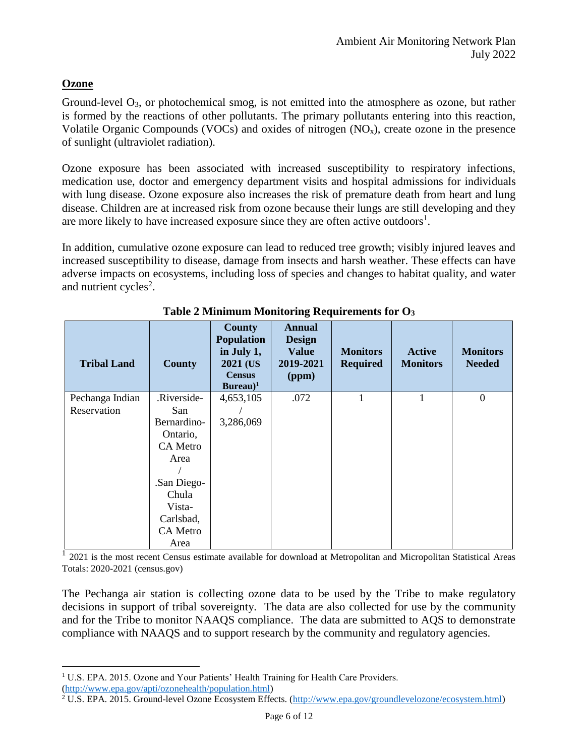### **Ozone**

 $\overline{a}$ 

Ground-level O<sub>3</sub>, or photochemical smog, is not emitted into the atmosphere as ozone, but rather is formed by the reactions of other pollutants. The primary pollutants entering into this reaction, Volatile Organic Compounds (VOCs) and oxides of nitrogen  $(NO<sub>x</sub>)$ , create ozone in the presence of sunlight (ultraviolet radiation).

Ozone exposure has been associated with increased susceptibility to respiratory infections, medication use, doctor and emergency department visits and hospital admissions for individuals with lung disease. Ozone exposure also increases the risk of premature death from heart and lung disease. Children are at increased risk from ozone because their lungs are still developing and they are more likely to have increased exposure since they are often active outdoors<sup>1</sup>.

In addition, cumulative ozone exposure can lead to reduced tree growth; visibly injured leaves and increased susceptibility to disease, damage from insects and harsh weather. These effects can have adverse impacts on ecosystems, including loss of species and changes to habitat quality, and water and nutrient cycles<sup>2</sup>.

| <b>Tribal Land</b> | <b>County</b>   | <b>County</b><br><b>Population</b><br>in July 1,<br>2021 (US)<br><b>Census</b><br>Bureau $)^1$ | <b>Annual</b><br><b>Design</b><br><b>Value</b><br>2019-2021<br>(ppm) | <b>Monitors</b><br><b>Required</b> | <b>Active</b><br><b>Monitors</b> | <b>Monitors</b><br><b>Needed</b> |
|--------------------|-----------------|------------------------------------------------------------------------------------------------|----------------------------------------------------------------------|------------------------------------|----------------------------------|----------------------------------|
| Pechanga Indian    | .Riverside-     | 4,653,105                                                                                      | .072                                                                 | $\mathbf{I}$                       | $\mathbf{1}$                     | $\boldsymbol{0}$                 |
| Reservation        | San             |                                                                                                |                                                                      |                                    |                                  |                                  |
|                    | Bernardino-     | 3,286,069                                                                                      |                                                                      |                                    |                                  |                                  |
|                    | Ontario,        |                                                                                                |                                                                      |                                    |                                  |                                  |
|                    | CA Metro        |                                                                                                |                                                                      |                                    |                                  |                                  |
|                    | Area            |                                                                                                |                                                                      |                                    |                                  |                                  |
|                    |                 |                                                                                                |                                                                      |                                    |                                  |                                  |
|                    | .San Diego-     |                                                                                                |                                                                      |                                    |                                  |                                  |
|                    | Chula           |                                                                                                |                                                                      |                                    |                                  |                                  |
|                    | Vista-          |                                                                                                |                                                                      |                                    |                                  |                                  |
|                    | Carlsbad,       |                                                                                                |                                                                      |                                    |                                  |                                  |
|                    | <b>CA</b> Metro |                                                                                                |                                                                      |                                    |                                  |                                  |
|                    | Area            |                                                                                                |                                                                      |                                    |                                  |                                  |

**Table 2 Minimum Monitoring Requirements for O<sup>3</sup>**

<sup>1</sup> 2021 is the most recent Census estimate available for download at Metropolitan and Micropolitan Statistical Areas Totals: 2020-2021 (census.gov)

The Pechanga air station is collecting ozone data to be used by the Tribe to make regulatory decisions in support of tribal sovereignty. The data are also collected for use by the community and for the Tribe to monitor NAAQS compliance. The data are submitted to AQS to demonstrate compliance with NAAQS and to support research by the community and regulatory agencies.

<sup>&</sup>lt;sup>1</sup> U.S. EPA. 2015. Ozone and Your Patients' Health Training for Health Care Providers. [\(http://www.epa.gov/apti/ozonehealth/population.html\)](http://www.epa.gov/apti/ozonehealth/population.html)

<sup>2</sup> U.S. EPA. 2015. Ground-level Ozone Ecosystem Effects. [\(http://www.epa.gov/groundlevelozone/ecosystem.html\)](http://www.epa.gov/groundlevelozone/ecosystem.html)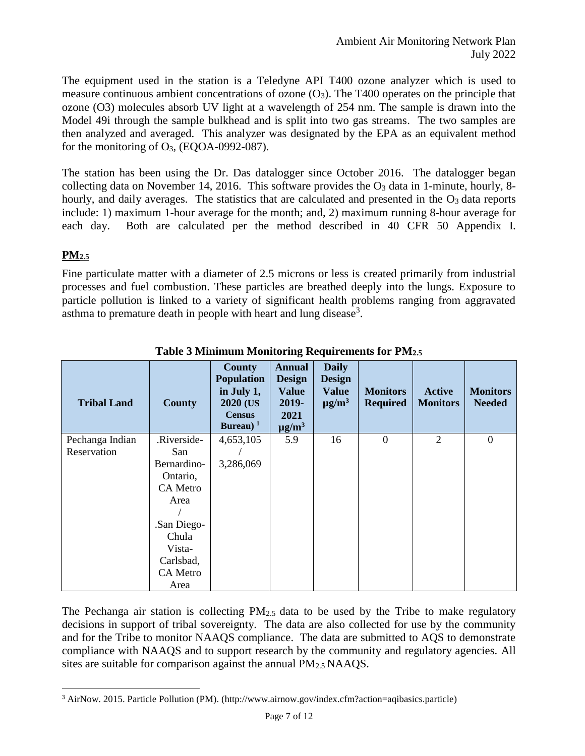The equipment used in the station is a Teledyne API T400 ozone analyzer which is used to measure continuous ambient concentrations of ozone  $(O_3)$ . The T400 operates on the principle that ozone (O3) molecules absorb UV light at a wavelength of 254 nm. The sample is drawn into the Model 49i through the sample bulkhead and is split into two gas streams. The two samples are then analyzed and averaged. This analyzer was designated by the EPA as an equivalent method for the monitoring of  $O<sub>3</sub>$ , (EQOA-0992-087).

The station has been using the Dr. Das datalogger since October 2016. The datalogger began collecting data on November 14, 2016. This software provides the  $O<sub>3</sub>$  data in 1-minute, hourly, 8hourly, and daily averages. The statistics that are calculated and presented in the  $O<sub>3</sub>$  data reports include: 1) maximum 1-hour average for the month; and, 2) maximum running 8-hour average for each day. Both are calculated per the method described in 40 CFR 50 Appendix I.

### **PM2.5**

Fine particulate matter with a diameter of 2.5 microns or less is created primarily from industrial processes and fuel combustion. These particles are breathed deeply into the lungs. Exposure to particle pollution is linked to a variety of significant health problems ranging from aggravated asthma to premature death in people with heart and lung disease<sup>3</sup>.

| <b>Tribal Land</b>             | <b>County</b>      | <b>County</b><br><b>Population</b><br>in July 1,<br>2020 (US<br><b>Census</b><br>Bureau) $1$ | <b>Annual</b><br><b>Design</b><br><b>Value</b><br>2019-<br>2021<br>$\mu$ g/m <sup>3</sup> | <b>Daily</b><br><b>Design</b><br><b>Value</b><br>$\mu$ g/m <sup>3</sup> | <b>Monitors</b><br><b>Required</b> | <b>Active</b><br><b>Monitors</b> | <b>Monitors</b><br><b>Needed</b> |
|--------------------------------|--------------------|----------------------------------------------------------------------------------------------|-------------------------------------------------------------------------------------------|-------------------------------------------------------------------------|------------------------------------|----------------------------------|----------------------------------|
| Pechanga Indian<br>Reservation | .Riverside-<br>San | 4,653,105                                                                                    | 5.9                                                                                       | 16                                                                      | $\overline{0}$                     | $\overline{2}$                   | $\theta$                         |
|                                | Bernardino-        | 3,286,069                                                                                    |                                                                                           |                                                                         |                                    |                                  |                                  |
|                                | Ontario,           |                                                                                              |                                                                                           |                                                                         |                                    |                                  |                                  |
|                                | CA Metro           |                                                                                              |                                                                                           |                                                                         |                                    |                                  |                                  |
|                                | Area               |                                                                                              |                                                                                           |                                                                         |                                    |                                  |                                  |
|                                |                    |                                                                                              |                                                                                           |                                                                         |                                    |                                  |                                  |
|                                | San Diego-         |                                                                                              |                                                                                           |                                                                         |                                    |                                  |                                  |
|                                | Chula<br>Vista-    |                                                                                              |                                                                                           |                                                                         |                                    |                                  |                                  |
|                                | Carlsbad,          |                                                                                              |                                                                                           |                                                                         |                                    |                                  |                                  |
|                                | CA Metro           |                                                                                              |                                                                                           |                                                                         |                                    |                                  |                                  |
|                                | Area               |                                                                                              |                                                                                           |                                                                         |                                    |                                  |                                  |

**Table 3 Minimum Monitoring Requirements for PM2.5**

The Pechanga air station is collecting  $PM_{2.5}$  data to be used by the Tribe to make regulatory decisions in support of tribal sovereignty. The data are also collected for use by the community and for the Tribe to monitor NAAQS compliance. The data are submitted to AQS to demonstrate compliance with NAAQS and to support research by the community and regulatory agencies. All sites are suitable for comparison against the annual  $PM_{2.5}NAAQS$ .

 $\overline{a}$ <sup>3</sup> AirNow. 2015. Particle Pollution (PM). (http://www.airnow.gov/index.cfm?action=aqibasics.particle)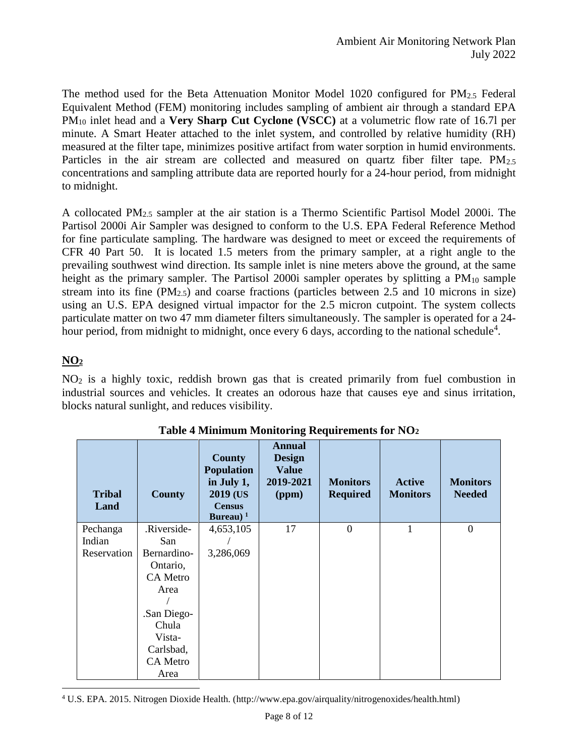The method used for the Beta Attenuation Monitor Model 1020 configured for  $PM_{2.5}$  Federal Equivalent Method (FEM) monitoring includes sampling of ambient air through a standard EPA PM<sup>10</sup> inlet head and a **Very Sharp Cut Cyclone (VSCC)** at a volumetric flow rate of 16.7l per minute. A Smart Heater attached to the inlet system, and controlled by relative humidity (RH) measured at the filter tape, minimizes positive artifact from water sorption in humid environments. Particles in the air stream are collected and measured on quartz fiber filter tape.  $PM_{2.5}$ concentrations and sampling attribute data are reported hourly for a 24-hour period, from midnight to midnight.

A collocated PM2.5 sampler at the air station is a Thermo Scientific Partisol Model 2000i. The Partisol 2000i Air Sampler was designed to conform to the U.S. EPA Federal Reference Method for fine particulate sampling. The hardware was designed to meet or exceed the requirements of CFR 40 Part 50. It is located 1.5 meters from the primary sampler, at a right angle to the prevailing southwest wind direction. Its sample inlet is nine meters above the ground, at the same height as the primary sampler. The Partisol 2000i sampler operates by splitting a  $PM_{10}$  sample stream into its fine  $(PM_{2,5})$  and coarse fractions (particles between 2.5 and 10 microns in size) using an U.S. EPA designed virtual impactor for the 2.5 micron cutpoint. The system collects particulate matter on two 47 mm diameter filters simultaneously. The sampler is operated for a 24 hour period, from midnight to midnight, once every 6 days, according to the national schedule<sup>4</sup>.

### **NO<sup>2</sup>**

NO<sup>2</sup> is a highly toxic, reddish brown gas that is created primarily from fuel combustion in industrial sources and vehicles. It creates an odorous haze that causes eye and sinus irritation, blocks natural sunlight, and reduces visibility.

| <b>Tribal</b><br>Land | <b>County</b>   | <b>County</b><br><b>Population</b><br>in July 1,<br>2019 (US<br><b>Census</b><br>Bureau) $1$ | <b>Annual</b><br><b>Design</b><br><b>Value</b><br>2019-2021<br>(ppm) | <b>Monitors</b><br><b>Required</b> | <b>Active</b><br><b>Monitors</b> | <b>Monitors</b><br><b>Needed</b> |
|-----------------------|-----------------|----------------------------------------------------------------------------------------------|----------------------------------------------------------------------|------------------------------------|----------------------------------|----------------------------------|
| Pechanga              | .Riverside-     | 4,653,105                                                                                    | 17                                                                   | $\overline{0}$                     | 1                                | $\boldsymbol{0}$                 |
| Indian                | San             |                                                                                              |                                                                      |                                    |                                  |                                  |
| Reservation           | Bernardino-     | 3,286,069                                                                                    |                                                                      |                                    |                                  |                                  |
|                       | Ontario,        |                                                                                              |                                                                      |                                    |                                  |                                  |
|                       | <b>CA Metro</b> |                                                                                              |                                                                      |                                    |                                  |                                  |
|                       | Area            |                                                                                              |                                                                      |                                    |                                  |                                  |
|                       |                 |                                                                                              |                                                                      |                                    |                                  |                                  |
|                       | .San Diego-     |                                                                                              |                                                                      |                                    |                                  |                                  |
|                       | Chula           |                                                                                              |                                                                      |                                    |                                  |                                  |
|                       | Vista-          |                                                                                              |                                                                      |                                    |                                  |                                  |
|                       | Carlsbad,       |                                                                                              |                                                                      |                                    |                                  |                                  |
|                       | <b>CA</b> Metro |                                                                                              |                                                                      |                                    |                                  |                                  |
|                       | Area            |                                                                                              |                                                                      |                                    |                                  |                                  |

**Table 4 Minimum Monitoring Requirements for NO<sup>2</sup>**

 $\overline{a}$ <sup>4</sup> U.S. EPA. 2015. Nitrogen Dioxide Health. (http://www.epa.gov/airquality/nitrogenoxides/health.html)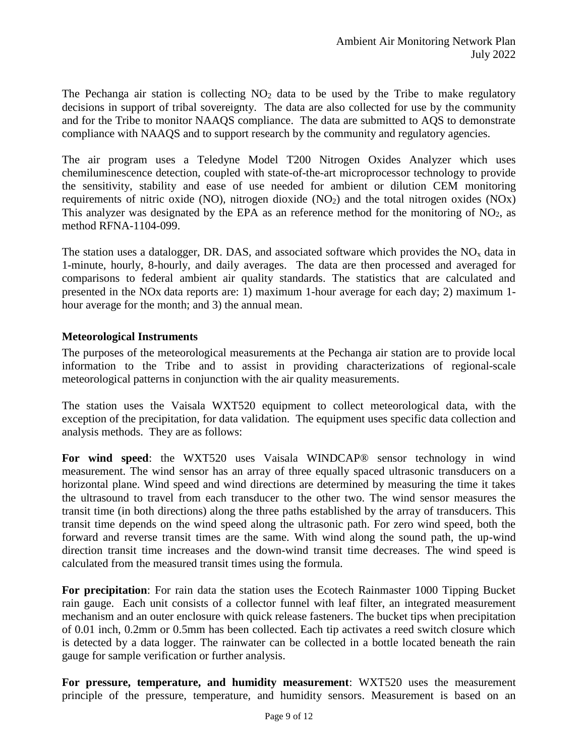The Pechanga air station is collecting  $NO<sub>2</sub>$  data to be used by the Tribe to make regulatory decisions in support of tribal sovereignty. The data are also collected for use by the community and for the Tribe to monitor NAAQS compliance. The data are submitted to AQS to demonstrate compliance with NAAQS and to support research by the community and regulatory agencies.

The air program uses a Teledyne Model T200 Nitrogen Oxides Analyzer which uses chemiluminescence detection, coupled with state-of-the-art microprocessor technology to provide the sensitivity, stability and ease of use needed for ambient or dilution CEM monitoring requirements of nitric oxide (NO), nitrogen dioxide  $(NO<sub>2</sub>)$  and the total nitrogen oxides  $(NO<sub>X</sub>)$ This analyzer was designated by the EPA as an reference method for the monitoring of  $NO<sub>2</sub>$ , as method RFNA-1104-099.

The station uses a datalogger, DR. DAS, and associated software which provides the  $NO<sub>x</sub>$  data in 1-minute, hourly, 8-hourly, and daily averages. The data are then processed and averaged for comparisons to federal ambient air quality standards. The statistics that are calculated and presented in the NOx data reports are: 1) maximum 1-hour average for each day; 2) maximum 1 hour average for the month; and 3) the annual mean.

### **Meteorological Instruments**

The purposes of the meteorological measurements at the Pechanga air station are to provide local information to the Tribe and to assist in providing characterizations of regional-scale meteorological patterns in conjunction with the air quality measurements.

The station uses the Vaisala WXT520 equipment to collect meteorological data, with the exception of the precipitation, for data validation. The equipment uses specific data collection and analysis methods. They are as follows:

**For wind speed**: the WXT520 uses Vaisala WINDCAP® sensor technology in wind measurement. The wind sensor has an array of three equally spaced ultrasonic transducers on a horizontal plane. Wind speed and wind directions are determined by measuring the time it takes the ultrasound to travel from each transducer to the other two. The wind sensor measures the transit time (in both directions) along the three paths established by the array of transducers. This transit time depends on the wind speed along the ultrasonic path. For zero wind speed, both the forward and reverse transit times are the same. With wind along the sound path, the up-wind direction transit time increases and the down-wind transit time decreases. The wind speed is calculated from the measured transit times using the formula.

**For precipitation**: For rain data the station uses the Ecotech Rainmaster 1000 Tipping Bucket rain gauge. Each unit consists of a collector funnel with leaf filter, an integrated measurement mechanism and an outer enclosure with quick release fasteners. The bucket tips when precipitation of 0.01 inch, 0.2mm or 0.5mm has been collected. Each tip activates a reed switch closure which is detected by a data logger. The rainwater can be collected in a bottle located beneath the rain gauge for sample verification or further analysis.

**For pressure, temperature, and humidity measurement**: WXT520 uses the measurement principle of the pressure, temperature, and humidity sensors. Measurement is based on an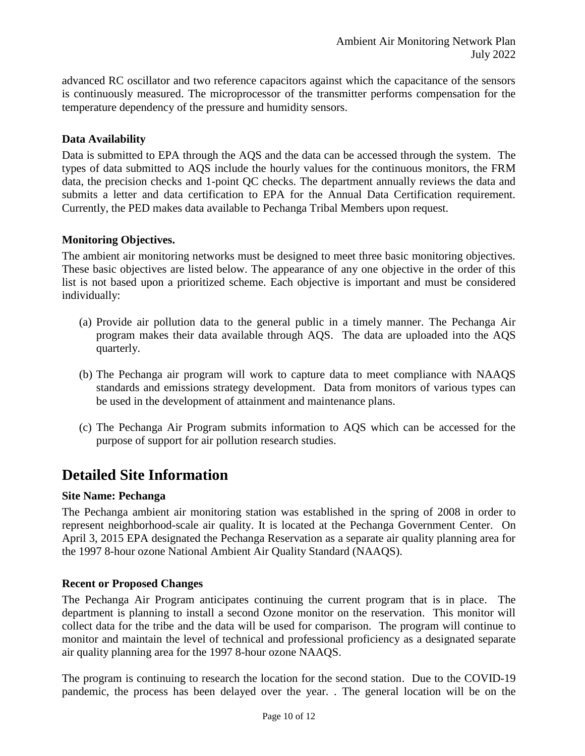advanced RC oscillator and two reference capacitors against which the capacitance of the sensors is continuously measured. The microprocessor of the transmitter performs compensation for the temperature dependency of the pressure and humidity sensors.

### **Data Availability**

Data is submitted to EPA through the AQS and the data can be accessed through the system. The types of data submitted to AQS include the hourly values for the continuous monitors, the FRM data, the precision checks and 1-point QC checks. The department annually reviews the data and submits a letter and data certification to EPA for the Annual Data Certification requirement. Currently, the PED makes data available to Pechanga Tribal Members upon request.

### **Monitoring Objectives.**

The ambient air monitoring networks must be designed to meet three basic monitoring objectives. These basic objectives are listed below. The appearance of any one objective in the order of this list is not based upon a prioritized scheme. Each objective is important and must be considered individually:

- (a) Provide air pollution data to the general public in a timely manner. The Pechanga Air program makes their data available through AQS. The data are uploaded into the AQS quarterly.
- (b) The Pechanga air program will work to capture data to meet compliance with NAAQS standards and emissions strategy development. Data from monitors of various types can be used in the development of attainment and maintenance plans.
- (c) The Pechanga Air Program submits information to AQS which can be accessed for the purpose of support for air pollution research studies.

## **Detailed Site Information**

### **Site Name: Pechanga**

The Pechanga ambient air monitoring station was established in the spring of 2008 in order to represent neighborhood-scale air quality. It is located at the Pechanga Government Center. On April 3, 2015 EPA designated the Pechanga Reservation as a separate air quality planning area for the 1997 8-hour ozone National Ambient Air Quality Standard (NAAQS).

#### **Recent or Proposed Changes**

The Pechanga Air Program anticipates continuing the current program that is in place. The department is planning to install a second Ozone monitor on the reservation. This monitor will collect data for the tribe and the data will be used for comparison. The program will continue to monitor and maintain the level of technical and professional proficiency as a designated separate air quality planning area for the 1997 8-hour ozone NAAQS.

The program is continuing to research the location for the second station. Due to the COVID-19 pandemic, the process has been delayed over the year. . The general location will be on the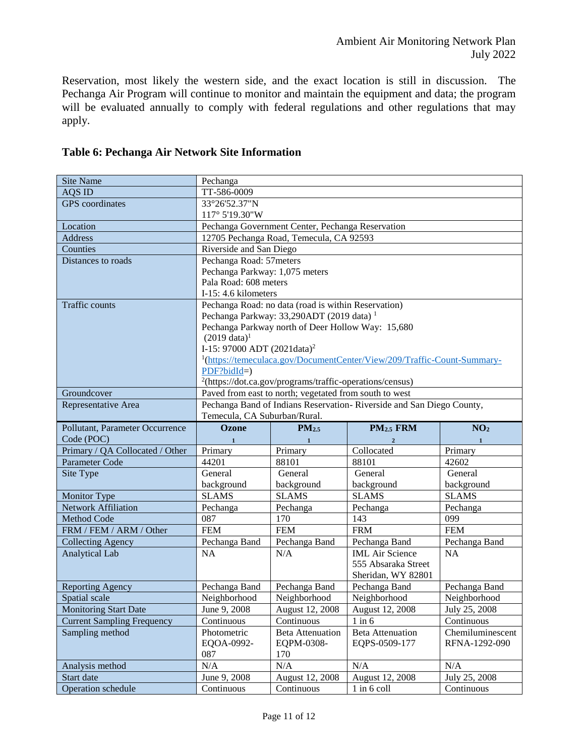Reservation, most likely the western side, and the exact location is still in discussion. The Pechanga Air Program will continue to monitor and maintain the equipment and data; the program will be evaluated annually to comply with federal regulations and other regulations that may apply.

| <b>Site Name</b>                  | Pechanga                                                                            |                                                      |                                  |                             |  |
|-----------------------------------|-------------------------------------------------------------------------------------|------------------------------------------------------|----------------------------------|-----------------------------|--|
| AQS ID                            | TT-586-0009                                                                         |                                                      |                                  |                             |  |
| <b>GPS</b> coordinates            | 33°26'52.37"N                                                                       |                                                      |                                  |                             |  |
|                                   | 117° 5'19.30"W                                                                      |                                                      |                                  |                             |  |
| Location                          |                                                                                     | Pechanga Government Center, Pechanga Reservation     |                                  |                             |  |
| <b>Address</b>                    |                                                                                     | 12705 Pechanga Road, Temecula, CA 92593              |                                  |                             |  |
| Counties                          | Riverside and San Diego                                                             |                                                      |                                  |                             |  |
| Distances to roads                | Pechanga Road: 57meters                                                             |                                                      |                                  |                             |  |
|                                   | Pechanga Parkway: 1,075 meters                                                      |                                                      |                                  |                             |  |
|                                   | Pala Road: 608 meters                                                               |                                                      |                                  |                             |  |
|                                   | I-15: 4.6 kilometers                                                                |                                                      |                                  |                             |  |
| <b>Traffic counts</b>             |                                                                                     | Pechanga Road: no data (road is within Reservation)  |                                  |                             |  |
|                                   |                                                                                     | Pechanga Parkway: 33,290ADT (2019 data) <sup>1</sup> |                                  |                             |  |
|                                   |                                                                                     | Pechanga Parkway north of Deer Hollow Way: 15,680    |                                  |                             |  |
|                                   | $(2019 \text{ data})^1$                                                             |                                                      |                                  |                             |  |
|                                   | I-15: 97000 ADT (2021data) <sup>2</sup>                                             |                                                      |                                  |                             |  |
|                                   | <sup>1</sup> (https://temeculaca.gov/DocumentCenter/View/209/Traffic-Count-Summary- |                                                      |                                  |                             |  |
|                                   | $PDF?bidId=$                                                                        |                                                      |                                  |                             |  |
|                                   | $^{2}$ (https://dot.ca.gov/programs/traffic-operations/census)                      |                                                      |                                  |                             |  |
| Groundcover                       | Paved from east to north; vegetated from south to west                              |                                                      |                                  |                             |  |
| Representative Area               | Pechanga Band of Indians Reservation-Riverside and San Diego County,                |                                                      |                                  |                             |  |
|                                   | Temecula, CA Suburban/Rural.                                                        |                                                      |                                  |                             |  |
| Pollutant, Parameter Occurrence   | <b>Ozone</b>                                                                        | PM <sub>2.5</sub>                                    | PM <sub>2.5</sub> FRM            | NO <sub>2</sub>             |  |
|                                   |                                                                                     |                                                      |                                  |                             |  |
| Code (POC)                        | $\mathbf{1}$                                                                        | $\mathbf{1}$                                         | $\overline{2}$                   | $\mathbf{1}$                |  |
| Primary / QA Collocated / Other   | Primary                                                                             | Primary                                              | Collocated                       | Primary                     |  |
| Parameter Code                    | 44201                                                                               | 88101                                                | 88101                            | 42602                       |  |
| Site Type                         | General                                                                             | General                                              | General                          | General                     |  |
|                                   | background                                                                          | background                                           | background                       | background                  |  |
| <b>Monitor Type</b>               | <b>SLAMS</b>                                                                        | <b>SLAMS</b>                                         | <b>SLAMS</b>                     | <b>SLAMS</b>                |  |
| <b>Network Affiliation</b>        | Pechanga                                                                            | Pechanga                                             | Pechanga                         | Pechanga                    |  |
| <b>Method Code</b>                | 087                                                                                 | 170                                                  | 143                              | 099                         |  |
| FRM / FEM / ARM / Other           | <b>FEM</b>                                                                          | <b>FEM</b>                                           | <b>FRM</b>                       | <b>FEM</b>                  |  |
| <b>Collecting Agency</b>          | Pechanga Band                                                                       | Pechanga Band                                        | Pechanga Band                    | Pechanga Band               |  |
| <b>Analytical Lab</b>             | <b>NA</b>                                                                           | N/A                                                  | <b>IML</b> Air Science           | <b>NA</b>                   |  |
|                                   |                                                                                     |                                                      | 555 Absaraka Street              |                             |  |
|                                   |                                                                                     |                                                      | Sheridan, WY 82801               |                             |  |
| <b>Reporting Agency</b>           | Pechanga Band                                                                       | Pechanga Band                                        | Pechanga Band                    | Pechanga Band               |  |
| Spatial scale                     | Neighborhood                                                                        | Neighborhood                                         | Neighborhood                     | Neighborhood                |  |
| <b>Monitoring Start Date</b>      | June 9, 2008                                                                        | August 12, 2008                                      | August 12, 2008                  | July 25, 2008               |  |
| <b>Current Sampling Frequency</b> | Continuous                                                                          | Continuous                                           | $1$ in $6$                       | Continuous                  |  |
| Sampling method                   | Photometric                                                                         | <b>Beta Attenuation</b>                              | <b>Beta Attenuation</b>          | Chemiluminescent            |  |
|                                   | EQOA-0992-                                                                          | EQPM-0308-                                           | EQPS-0509-177                    | RFNA-1292-090               |  |
|                                   | 087                                                                                 | 170                                                  |                                  |                             |  |
| Analysis method                   | N/A                                                                                 | N/A                                                  | N/A                              | N/A                         |  |
| Start date<br>Operation schedule  | June 9, 2008<br>Continuous                                                          | August 12, 2008<br>Continuous                        | August 12, 2008<br>$1$ in 6 coll | July 25, 2008<br>Continuous |  |

### **Table 6: Pechanga Air Network Site Information**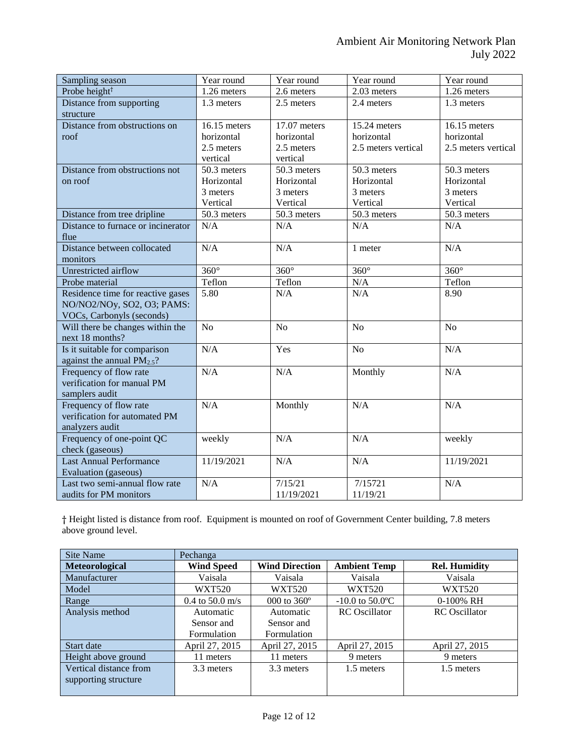| Sampling season                                                                              | Year round                                           | Year round                                           | Year round                                        | Year round                                        |
|----------------------------------------------------------------------------------------------|------------------------------------------------------|------------------------------------------------------|---------------------------------------------------|---------------------------------------------------|
| Probe height <sup>†</sup>                                                                    | 1.26 meters                                          | 2.6 meters                                           | 2.03 meters                                       | 1.26 meters                                       |
| Distance from supporting<br>structure                                                        | 1.3 meters                                           | 2.5 meters                                           | 2.4 meters                                        | 1.3 meters                                        |
| Distance from obstructions on<br>roof                                                        | 16.15 meters<br>horizontal<br>2.5 meters<br>vertical | 17.07 meters<br>horizontal<br>2.5 meters<br>vertical | 15.24 meters<br>horizontal<br>2.5 meters vertical | 16.15 meters<br>horizontal<br>2.5 meters vertical |
| Distance from obstructions not<br>on roof                                                    | 50.3 meters<br>Horizontal<br>3 meters<br>Vertical    | 50.3 meters<br>Horizontal<br>3 meters<br>Vertical    | 50.3 meters<br>Horizontal<br>3 meters<br>Vertical | 50.3 meters<br>Horizontal<br>3 meters<br>Vertical |
| Distance from tree dripline                                                                  | 50.3 meters                                          | 50.3 meters                                          | 50.3 meters                                       | 50.3 meters                                       |
| Distance to furnace or incinerator<br>flue                                                   | N/A                                                  | N/A                                                  | N/A                                               | N/A                                               |
| Distance between collocated<br>monitors                                                      | N/A                                                  | N/A                                                  | 1 meter                                           | N/A                                               |
| Unrestricted airflow                                                                         | $\overline{360^\circ}$                               | $360^\circ$                                          | $360^\circ$                                       | $360^\circ$                                       |
| Probe material                                                                               | Teflon                                               | Teflon                                               | N/A                                               | Teflon                                            |
| Residence time for reactive gases<br>NO/NO2/NOy, SO2, O3; PAMS:<br>VOCs, Carbonyls (seconds) | 5.80                                                 | N/A                                                  | N/A                                               | 8.90                                              |
| Will there be changes within the<br>next 18 months?                                          | N <sub>o</sub>                                       | N <sub>o</sub>                                       | N <sub>o</sub>                                    | N <sub>o</sub>                                    |
| Is it suitable for comparison<br>against the annual $PM_{2.5}$ ?                             | N/A                                                  | Yes                                                  | N <sub>o</sub>                                    | N/A                                               |
| Frequency of flow rate<br>verification for manual PM<br>samplers audit                       | N/A                                                  | N/A                                                  | Monthly                                           | N/A                                               |
| Frequency of flow rate<br>verification for automated PM<br>analyzers audit                   | N/A                                                  | Monthly                                              | N/A                                               | N/A                                               |
| Frequency of one-point QC<br>check (gaseous)                                                 | weekly                                               | N/A                                                  | N/A                                               | weekly                                            |
| <b>Last Annual Performance</b><br>Evaluation (gaseous)                                       | 11/19/2021                                           | N/A                                                  | N/A                                               | 11/19/2021                                        |
| Last two semi-annual flow rate<br>audits for PM monitors                                     | N/A                                                  | 7/15/21<br>11/19/2021                                | 7/15721<br>11/19/21                               | N/A                                               |

† Height listed is distance from roof. Equipment is mounted on roof of Government Center building, 7.8 meters above ground level.

| Site Name              | Pechanga          |                       |                      |                      |
|------------------------|-------------------|-----------------------|----------------------|----------------------|
| Meteorological         | <b>Wind Speed</b> | <b>Wind Direction</b> | <b>Ambient Temp</b>  | <b>Rel. Humidity</b> |
| Manufacturer           | Vaisala           | Vaisala               | Vaisala              | Vaisala              |
| Model                  | <b>WXT520</b>     | <b>WXT520</b>         | <b>WXT520</b>        | <b>WXT520</b>        |
| Range                  | $0.4$ to 50.0 m/s | 000 to $360^{\circ}$  | $-10.0$ to 50.0 °C   | 0-100% RH            |
| Analysis method        | Automatic         | Automatic             | <b>RC</b> Oscillator | <b>RC</b> Oscillator |
|                        | Sensor and        | Sensor and            |                      |                      |
|                        | Formulation       | Formulation           |                      |                      |
| Start date             | April 27, 2015    | April 27, 2015        | April 27, 2015       | April 27, 2015       |
| Height above ground    | 11 meters         | 11 meters             | 9 meters             | 9 meters             |
| Vertical distance from | 3.3 meters        | 3.3 meters            | 1.5 meters           | 1.5 meters           |
| supporting structure   |                   |                       |                      |                      |
|                        |                   |                       |                      |                      |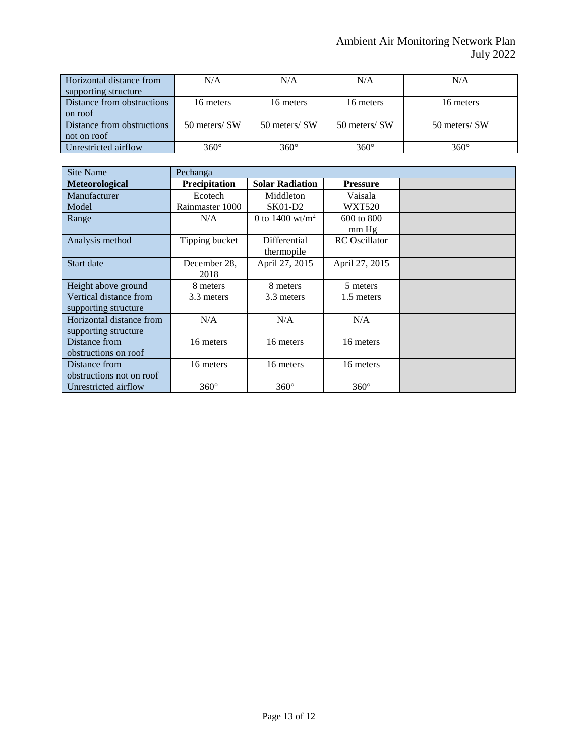| Horizontal distance from<br>supporting structure | N/A           | N/A           | N/A           | N/A           |
|--------------------------------------------------|---------------|---------------|---------------|---------------|
| Distance from obstructions<br>on roof            | 16 meters     | 16 meters     | 16 meters     | 16 meters     |
| Distance from obstructions                       | 50 meters/ SW | 50 meters/ SW | 50 meters/ SW | 50 meters/ SW |
| not on roof                                      |               |               |               |               |
| Unrestricted airflow                             | $360^\circ$   | $360^\circ$   | $360^\circ$   | $360^\circ$   |

| <b>Site Name</b>         | Pechanga             |                        |                      |  |
|--------------------------|----------------------|------------------------|----------------------|--|
| Meteorological           | <b>Precipitation</b> | <b>Solar Radiation</b> | <b>Pressure</b>      |  |
| Manufacturer             | Ecotech              | Middleton              | Vaisala              |  |
| Model                    | Rainmaster 1000      | <b>SK01-D2</b>         | <b>WXT520</b>        |  |
| Range                    | N/A                  | 0 to 1400 wt/ $m^2$    | 600 to 800           |  |
|                          |                      |                        | mm Hg                |  |
| Analysis method          | Tipping bucket       | Differential           | <b>RC</b> Oscillator |  |
|                          |                      | thermopile             |                      |  |
| Start date               | December 28,         | April 27, 2015         | April 27, 2015       |  |
|                          | 2018                 |                        |                      |  |
| Height above ground      | 8 meters             | 8 meters               | 5 meters             |  |
| Vertical distance from   | 3.3 meters           | 3.3 meters             | 1.5 meters           |  |
| supporting structure     |                      |                        |                      |  |
| Horizontal distance from | N/A                  | N/A                    | N/A                  |  |
| supporting structure     |                      |                        |                      |  |
| Distance from            | 16 meters            | 16 meters              | 16 meters            |  |
| obstructions on roof     |                      |                        |                      |  |
| Distance from            | 16 meters            | 16 meters              | 16 meters            |  |
| obstructions not on roof |                      |                        |                      |  |
| Unrestricted airflow     | $360^\circ$          | $360^\circ$            | $360^\circ$          |  |